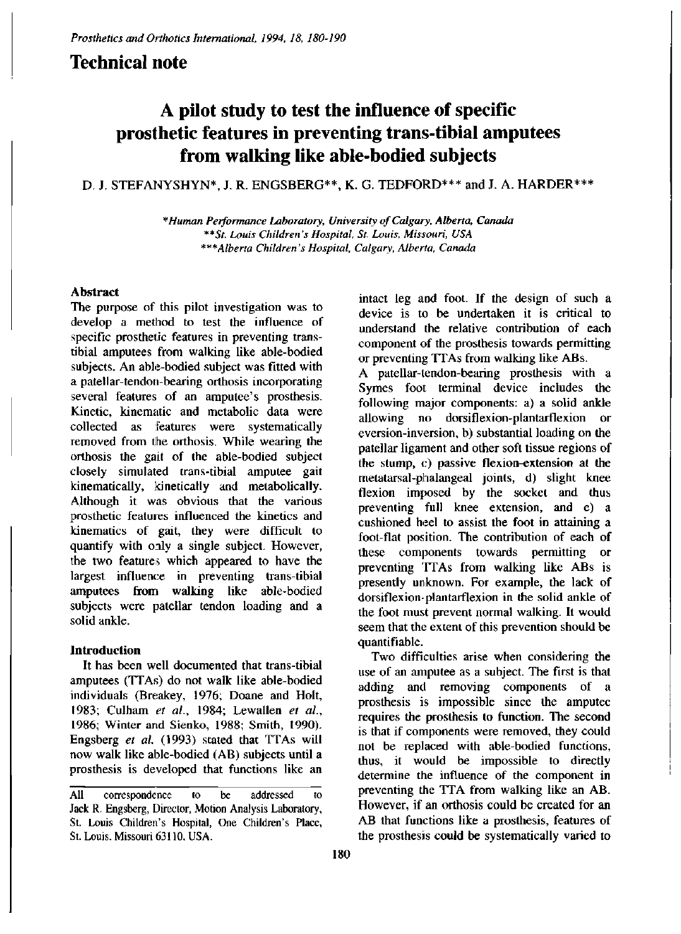## **Technical note**

# **A pilot study to test the influence of specific prosthetic features in preventing trans-tibial amputees from walking like able-bodied subjects**

### **D. J. STEFANYSHYN\* , J. R. ENGSBERG\*\* , K. G. TEDFORD\*\* \* and J. A. HARDER\*\* \***

*\*Human Performance Laboratory, University of Calgary, Alberta, Canada \*\*St. Louis Children's Hospital, St. Louis, Missouri, USA \*\*\*Alberta Children's Hospital, Calgary, Alberta, Canada* 

#### **Abstract**

The purpose of this pilot investigation was to develop a method to test the influence of specific prosthetic features in preventing transtibial amputees from walking like able-bodied subjects. An able-bodied subject was fitted with a patellar-tendon-bearing orthosis incorporating several features of an amputee's prosthesis. Kinetic, kinematic and metabolic data were collected as features were systematically removed from the orthosis. While wearing the orthosis the gait of the able-bodied subject closely simulated trans-tibial amputee gait kinematically, kinetically and metabolically. Although it was obvious that the various prosthetic features influenced the kinetics and kinematics of gait, they were difficult to quantify with only a single subject. However, the two features which appeared to have the largest influence in preventing trans-tibial amputees from walking like able-bodied subjects were patellar tendon loading and a solid ankle.

#### **Introduction**

It has been well documented that trans-tibial amputees (TTAs) do not walk like able-bodied individuals (Breakey, 1976; Doane and Holt, 1983; Culham *et al.,* 1984; Lewallen *et al.,*  1986; Winter and Sienko, 1988; Smith, 1990). Engsberg *et al.* (1993) stated that TTAs will now walk like able-bodied (AB) subjects until a prosthesis is developed that functions like an

intact leg and foot. If the design of such a device is to be undertaken it is critical to understand the relative contribution of each component of the prosthesis towards permitting or preventing TTAs from walking like ABs.

A patellar-tendon-bearing prosthesis with a Symes foot terminal device includes the following major components: a) a solid ankle allowing no dorsiflexion-plantarflexion or eversion-inversion, b) substantial loading on the patellar ligament and other soft tissue regions of the stump, c) passive flexion-extension at the metatarsal-phalangeal joints, d) slight knee flexion imposed by the socket and thus preventing full knee extension, and e) a cushioned heel to assist the foot in attaining a foot-flat position. The contribution of each of these components towards permitting or preventing TTAs from walking like ABs is presently unknown. For example, the lack of dorsiflexion-plantarflexion in the solid ankle of the foot must prevent normal walking. It would seem that the extent of this prevention should be quantifiable.

Two difficulties arise when considering the use of an amputee as a subject. The first is that adding and removing components of a prosthesis is impossible since the amputee requires the prosthesis to function. The second is that if components were removed, they could not be replaced with able-bodied functions, thus, it would be impossible to directly determine the influence of the component in preventing the TTA from walking like an AB. However, if an orthosis could be created for an AB that functions like a prosthesis, features of the prosthesis could be systematically varied to

All correspondence to be addressed to Jack R. Engsberg, Director, Motion Analysis Laboratory, St. Louis Children's Hospital, One Children's Place, St. Louis. Missouri 63110, USA.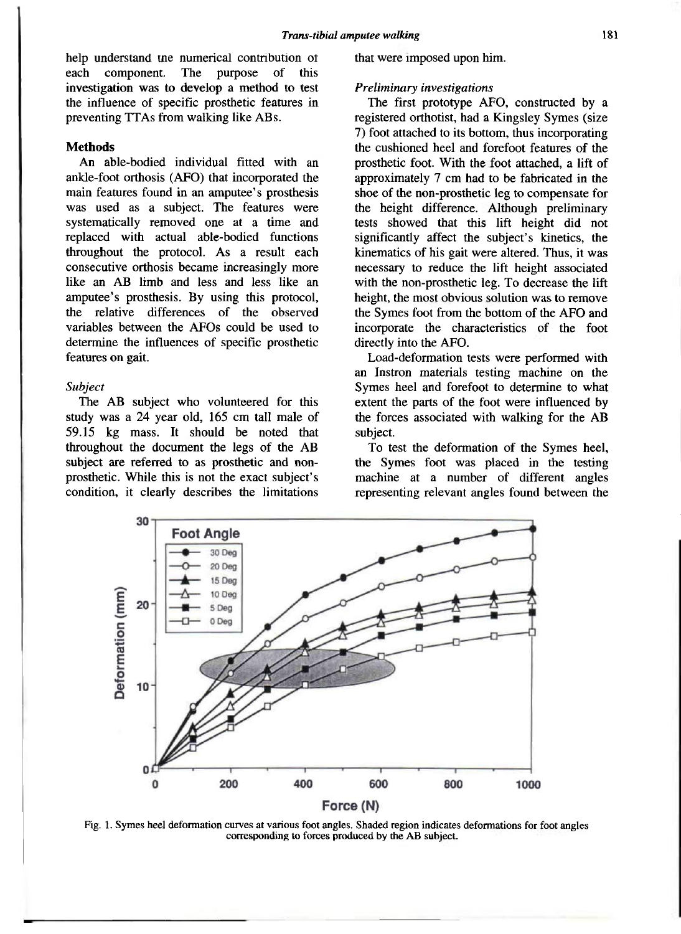help understand the numerical contribution of each component. The purpose of this investigation was to develop a method to test the influence of specific prosthetic features in preventing TTAs from walking like ABs.

#### **Methods**

An able-bodied individual fitted with an ankle-foot orthosis (AFO) that incorporated the main features found in an amputee's prosthesis was used as a subject. The features were systematically removed one at a time and replaced with actual able-bodied functions throughout the protocol. As a result each consecutive orthosis became increasingly more like an AB limb and less and less like an amputee's prosthesis. By using this protocol, the relative differences of the observed variables between the AFOs could be used to determine the influences of specific prosthetic features on gait.

#### *Subject*

The AB subject who volunteered for this study was a 24 year old, 165 cm tall male of 59.15 kg mass. It should be noted that throughout the document the legs of the AB subject are referred to as prosthetic and nonprosthetic. While this is not the exact subject's condition, it clearly describes the limitations that were imposed upon him.

#### *Preliminary investigations*

The first prototype AFO, constructed by a registered orthotist, had a Kingsley Symes (size 7) foot attached to its bottom, thus incorporating the cushioned heel and forefoot features of the prosthetic foot. With the foot attached, a lift of approximately 7 cm had to be fabricated in the shoe of the non-prosthetic leg to compensate for the height difference. Although preliminary tests showed that this lift height did not significantly affect the subject's kinetics, the kinematics of his gait were altered. Thus, it was necessary to reduce the lift height associated with the non-prosthetic leg. To decrease the lift height, the most obvious solution was to remove the Symes foot from the bottom of the AFO and incorporate the characteristics of the foot directly into the AFO.

Load-deformation tests were performed with an Instron materials testing machine on the Symes heel and forefoot to determine to what extent the parts of the foot were influenced by the forces associated with walking for the AB subject.

To test the deformation of the Symes heel, the Symes foot was placed in the testing machine at a number of different angles representing relevant angles found between the



Fig. 1. Symes heel deformation curves at various foot angles. Shaded region indicates deformations for foot angles corresponding to forces produced by the AB subject.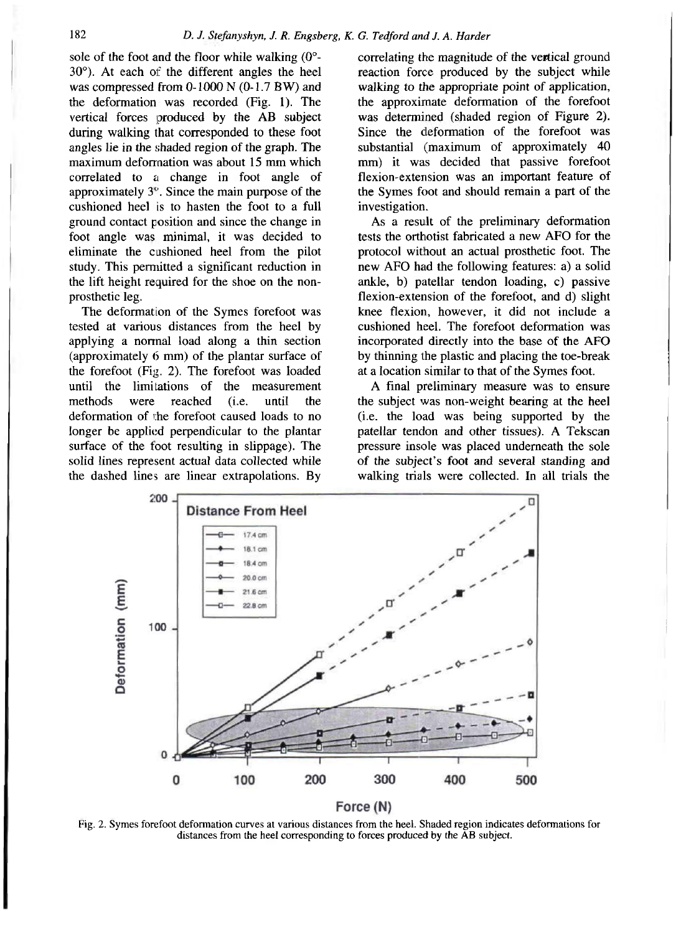sole of the foot and the floor while walking  $(0^{\circ}$ -30°). At each of the different angles the heel was compressed from  $0-1000$  N  $(0-1.7$  BW) and the deformation was recorded (Fig. 1). The vertical forces produced by the AB subject during walking that corresponded to these foot angles lie in the shaded region of the graph. The maximum deformation was about 15 mm which correlated to a change in foot angle of approximately 3°. Since the main purpose of the cushioned heel is to hasten the foot to a full ground contact position and since the change in foot angle was minimal, it was decided to eliminate the cushioned heel from the pilot study. This permitted a significant reduction in the lift height required for the shoe on the nonprosthetic leg.

The deformation of the Symes forefoot was tested at various distances from the heel by applying a normal load along a thin section (approximately 6 mm) of the plantar surface of the forefoot (Fig. 2). The forefoot was loaded until the limitations of the measurement methods were reached (i.e. until the deformation of the forefoot caused loads to no longer be applied perpendicular to the plantar surface of the foot resulting in slippage). The solid lines represent actual data collected while the dashed lines are linear extrapolations. By correlating the magnitude of the vertical ground reaction force produced by the subject while walking to the appropriate point of application, the approximate deformation of the forefoot was determined (shaded region of Figure 2). Since the deformation of the forefoot was substantial (maximum of approximately 40 mm) it was decided that passive forefoot flexion-extension was an important feature of the Symes foot and should remain a part of the investigation.

As a result of the preliminary deformation tests the orthotist fabricated a new AFO for the protocol without an actual prosthetic foot. The new AFO had the following features: a) a solid ankle, b) patellar tendon loading, c) passive flexion-extension of the forefoot, and d) slight knee flexion, however, it did not include a cushioned heel. The forefoot deformation was incorporated directly into the base of the AFO by thinning the plastic and placing the toe-break at a location similar to that of the Symes foot.

A final preliminary measure was to ensure the subject was non-weight bearing at the heel (i.e. the load was being supported by the patellar tendon and other tissues). A Tekscan pressure insole was placed underneath the sole of the subject's foot and several standing and walking trials were collected. In all trials the



Fig. 2. Symes forefoot deformation curves at various distances from the heel. Shaded region indicates deformations for distances from the heel corresponding to forces produced by the AB subject.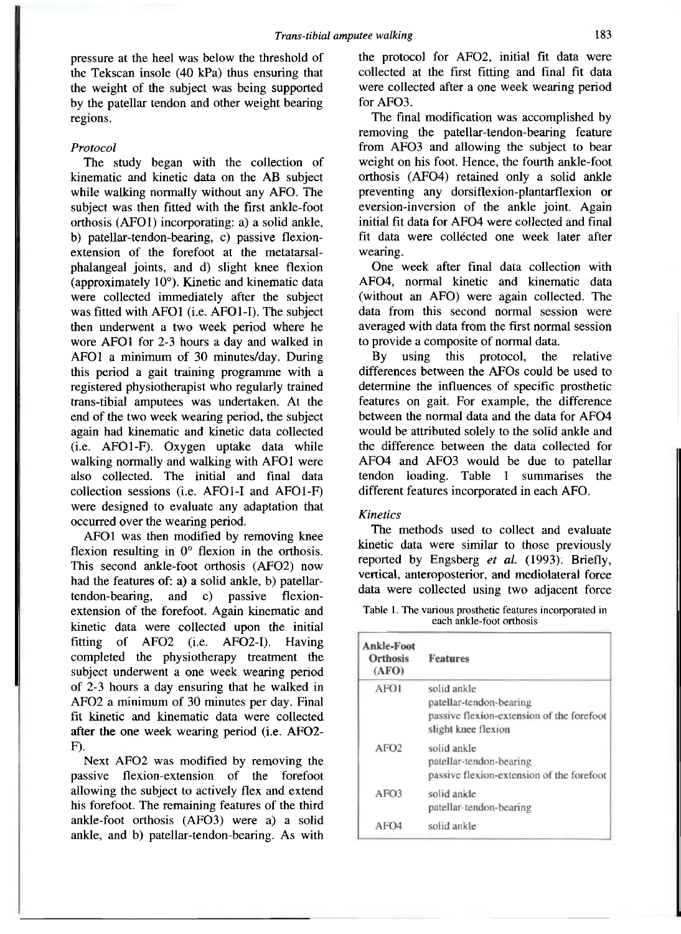pressure at the heel was below the threshold of the Tekscan insole (40 kPa) thus ensuring that the weight of the subject was being supported by the patellar tendon and other weight bearing regions.

#### *Protocol*

The study began with the collection of kinematic and kinetic data on the AB subject while walking normally without any AFO. The subject was then fitted with the first ankle-foot orthosis (AFO1) incorporating: a) a solid ankle, b) patellar-tendon-bearing, c) passive flexionextension of the forefoot at the metatarsalphalangeal joints, and d) slight knee flexion (approximately 10°). Kinetic and kinematic data were collected immediately after the subject was fitted with AFO1 (i.e. AFO1-I). The subject then underwent a two week period where he wore AFO1 for 2-3 hours a day and walked in AFO1 a minimum of 30 minutes/day. During this period a gait training programme with a registered physiotherapist who regularly trained trans-tibial amputees was undertaken. At the end of the two week wearing period, the subject again had kinematic and kinetic data collected (i.e. AFO1-F). Oxygen uptake data while walking normally and walking with AFO1 were also collected. The initial and final data collection sessions (i.e. AFO1-I and AFO1-F) were designed to evaluate any adaptation that occurred over the wearing period.

AFO1 was then modified by removing knee flexion resulting in 0° flexion in the orthosis. This second ankle-foot orthosis (AFO2) now had the features of: a) a solid ankle, b) patellartendon-bearing, and c) passive flexionextension of the forefoot. Again kinematic and kinetic data were collected upon the initial fitting of AFO<sub>2</sub> (i.e. AFO<sub>2</sub>-I). Having completed the physiotherapy treatment the subject underwent a one week wearing period of 2-3 hours a day ensuring that he walked in AFO2 a minimum of 30 minutes per day. Final fit kinetic and kinematic data were collected after the one week wearing period (i.e. AFO2-F).

Next AFO2 was modified by removing the passive flexion-extension of the forefoot allowing the subject to actively flex and extend his forefoot. The remaining features of the third ankle-foot orthosis (AFO3) were a) a solid ankle, and b) patellar-tendon-bearing. As with the protocol for AFO2, initial fit data were collected at the first fitting and final fit data were collected after a one week wearing period for AFO3.

The final modification was accomplished by removing the patellar-tendon-bearing feature from AFO3 and allowing the subject to bear weight on his foot. Hence, the fourth ankle-foot orthosis (AFO4) retained only a solid ankle preventing any dorsiflexion-plantarflexion or eversion-inversion of the ankle joint. Again initial fit data for AFO4 were collected and final fit data were collected one week later after wearing.

One week after final data collection with AF04 , normal kinetic and kinematic data (without an AFO) were again collected. The data from this second normal session were averaged with data from the first normal session to provide a composite of normal data.

By using this protocol, the relative differences between the AFOs could be used to determine the influences of specific prosthetic features on gait. For example, the difference between the normal data and the data for AFO4 would be attributed solely to the solid ankle and the difference between the data collected for AFO4 and AFO3 would be due to patellar tendon loading. Table 1 summarises the different features incorporated in each AFO.

#### *Kinetics*

The methods used to collect and evaluate kinetic data were similar to those previously reported by Engsberg *et al.* (1993): Briefly, vertical, anteroposterior, and mediolateral force data were collected using two adjacent force

Table 1. The various prosthetic features incorporated in each ankle-foot orthosis

| Ankle-Foot<br>Orthosis<br>(AFO) | <b>Features</b>                                                                                            |
|---------------------------------|------------------------------------------------------------------------------------------------------------|
| AFO1                            | solid ankle<br>patellar-tendon-bearing<br>passive flexion-extension of the forefoot<br>slight knee flexion |
| AFO2                            | solid ankle<br>patellar-tendon-bearing<br>passive flexion-extension of the forefoot                        |
| AFO <sub>3</sub>                | solid ankle<br>patellar-tendon-bearing                                                                     |
| AFO4                            | solid ankle                                                                                                |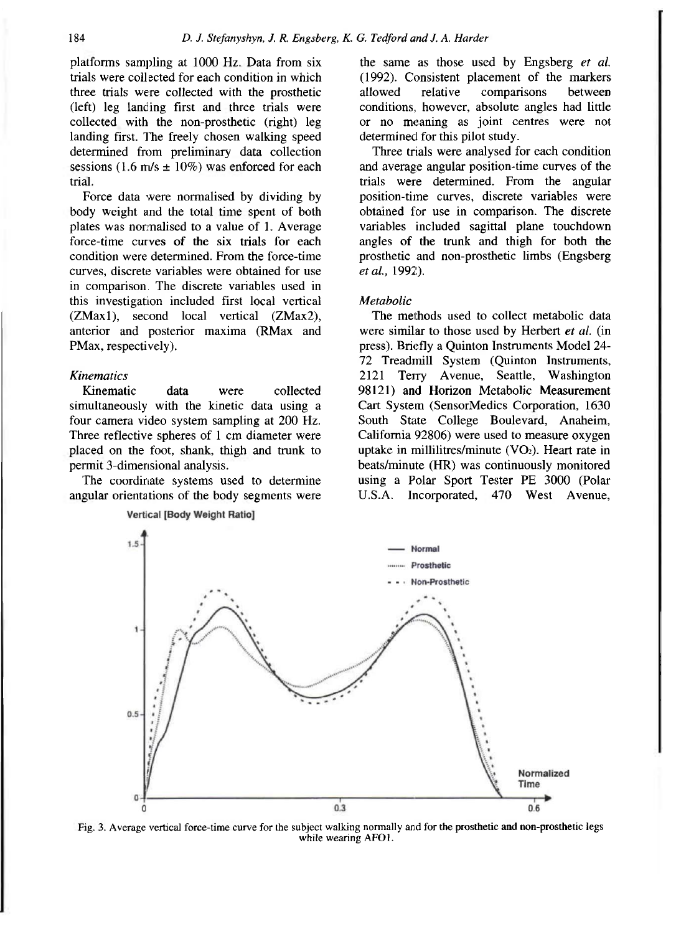platforms sampling at 1000 Hz. Data from six trials were collected for each condition in which three trials were collected with the prosthetic (left) leg landing first and three trials were collected with the non-prosthetic (right) leg landing first. The freely chosen walking speed determined from preliminary data collection sessions (1.6 m/s  $\pm$  10%) was enforced for each trial.

Force data were normalised by dividing by body weight and the total time spent of both plates was normalised to a value of 1. Average force-time curves of the six trials for each condition were determined. From the force-time curves, discrete variables were obtained for use in comparison. The discrete variables used in this investigation included first local vertical (ZMax1), second local vertical (ZMax2), anterior and posterior maxima (RMax and PMax, respectively).

#### *Kinematics*

Kinematic data were collected simultaneously with the kinetic data using a four camera video system sampling at 200 Hz. Three reflective spheres of 1 cm diameter were placed on the foot, shank, thigh and trunk to permit 3-dimensional analysis.

The coordinate systems used to determine angular orientations of the body segments were **Vertical IBody Weight Ratiol** 

the same as those used by Engsberg *et al.*  (1992). Consistent placement of the markers allowed relative comparisons between conditions, however, absolute angles had little or no meaning as joint centres were not determined for this pilot study.

Three trials were analysed for each condition and average angular position-time curves of the trials were determined. From the angular position-time curves, discrete variables were obtained for use in comparison. The discrete variables included sagittal plane touchdown angles of the trunk and thigh for both the prosthetic and non-prosthetic limbs (Engsberg *et al.,* 1992).

#### *Metabolic*

The methods used to collect metabolic data were similar to those used by Herbert *et al.* (in press). Briefly a Quinton Instruments Model 24- 72 Treadmill System (Quinton Instruments, 2121 Terry Avenue, Seattle, Washington 98121) and Horizon Metabolic Measurement Cart System (SensorMedics Corporation, 1630 South State College Boulevard, Anaheim, California 92806) were used to measure oxygen uptake in millilitres/minute  $(VO<sub>2</sub>)$ . Heart rate in beats/minute (HR) was continuously monitored using a Polar Sport Tester PE 3000 (Polar U.S.A. Incorporated, 470 West Avenue,



Fig. 3. Average vertical force-time curve for the subject walking normally and for the prosthetic and non-prosthetic legs while wearing AFO1.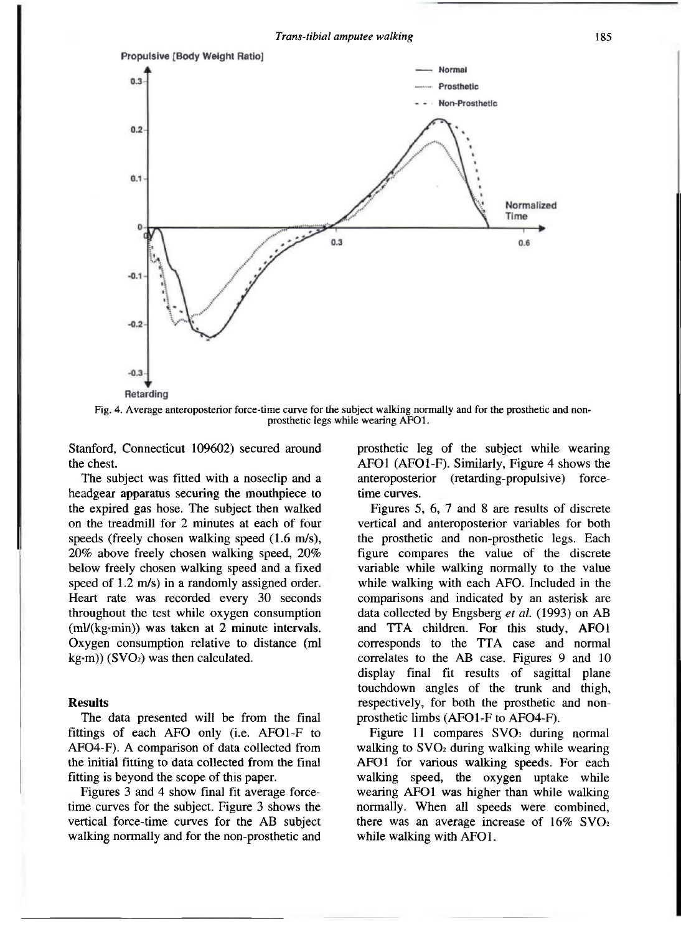

Fig. 4. Average anteroposterior force-time curve for the subject walking normally and for the prosthetic and nonprosthetic legs while wearing AFO1.

Stanford, Connecticut 109602) secured around the chest.

The subject was fitted with a noseclip and a headgear apparatus securing the mouthpiece to the expired gas hose. The subject then walked on the treadmill for 2 minutes at each of four speeds (freely chosen walking speed (1.6 m/s), 20% above freely chosen walking speed, 20% below freely chosen walking speed and a fixed speed of 1.2 m/s) in a randomly assigned order. Heart rate was recorded every 30 seconds throughout the test while oxygen consumption (ml/(kg·min)) was taken at 2 minute intervals. Oxygen consumption relative to distance (ml  $kg·m)$ ) (SVO<sub>2</sub>) was then calculated.

#### **Results**

The data presented will be from the final fittings of each AFO only (i.e. AFO1-F to AF04-F). A comparison of data collected from the initial fitting to data collected from the final fitting is beyond the scope of this paper.

Figures 3 and 4 show final fit average forcetime curves for the subject. Figure 3 shows the vertical force-time curves for the AB subject walking normally and for the non-prosthetic and prosthetic leg of the subject while wearing AFOl (AFO1-F). Similarly, Figure 4 shows the anteroposterior (retarding-propulsive) forcetime curves.

Figures 5, 6, 7 and 8 are results of discrete vertical and anteroposterior variables for both the prosthetic and non-prosthetic legs. Each figure compares the value of the discrete variable while walking normally to the value while walking with each AFO. Included in the comparisons and indicated by an asterisk are data collected by Engsberg *et al.* (1993) on AB and TTA children. For this study, AFOl corresponds to the TTA case and normal correlates to the AB case. Figures 9 and 10 display final fit results of sagittal plane touchdown angles of the trunk and thigh, respectively, for both the prosthetic and nonprosthetic limbs (AFO1-F to AF04-F).

Figure 11 compares  $\text{SVO}_2$  during normal walking to SVO<sub>2</sub> during walking while wearing AFO1 for various walking speeds. For each walking speed, the oxygen uptake while wearing AFO1 was higher than while walking normally. When all speeds were combined, there was an average increase of  $16\%$  SVO<sub>2</sub> while walking with AFO1.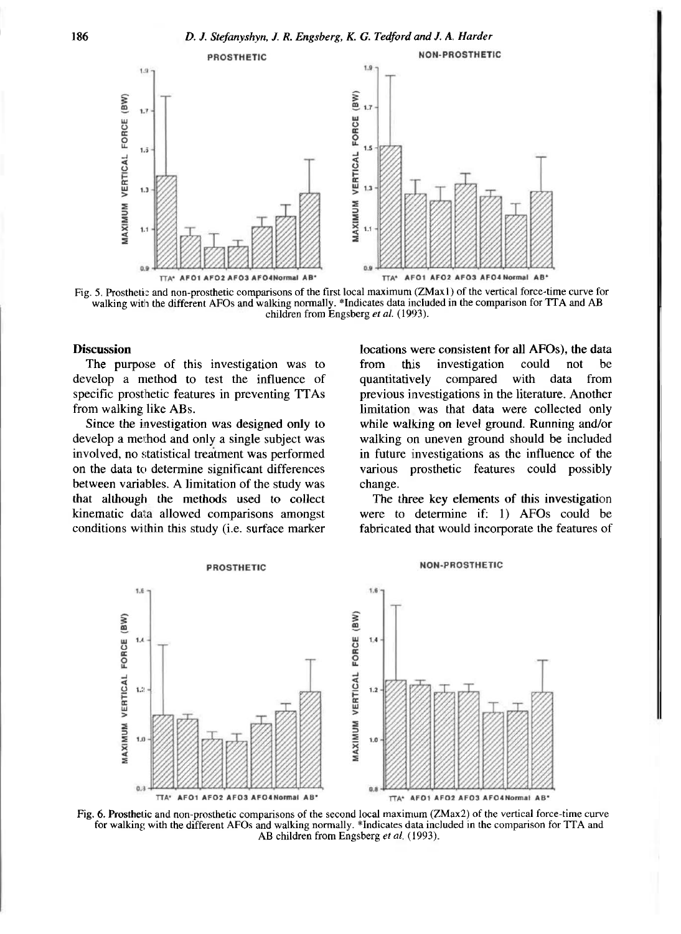

Fig. 5. Prosthetic and non-prosthetic comparisons of the first local maximum (ZMax1) of the vertical force-time curve for walking with the different AFOs and walking normally. \*Indicates data included in the comparison for TTA and AB children from Engsberg *et al.* (1993).

#### **Discussion**

The purpose of this investigation was to develop a method to test the influence of specific prosthetic features in preventing TTAs from walking like ABs.

Since the investigation was designed only to develop a method and only a single subject was involved, no statistical treatment was performed on the data to determine significant differences between variables. A limitation of the study was that although the methods used to collect kinematic data allowed comparisons amongst conditions within this study (i.e. surface marker locations were consistent for all AFOs), the data from this investigation could not be quantitatively compared with data from previous investigations in the literature. Another limitation was that data were collected only while walking on level ground. Running and/or walking on uneven ground should be included in future investigations as the influence of the various prosthetic features could possibly change.

The three key elements of this investigation were to determine if: 1) AFOs could be fabricated that would incorporate the features of



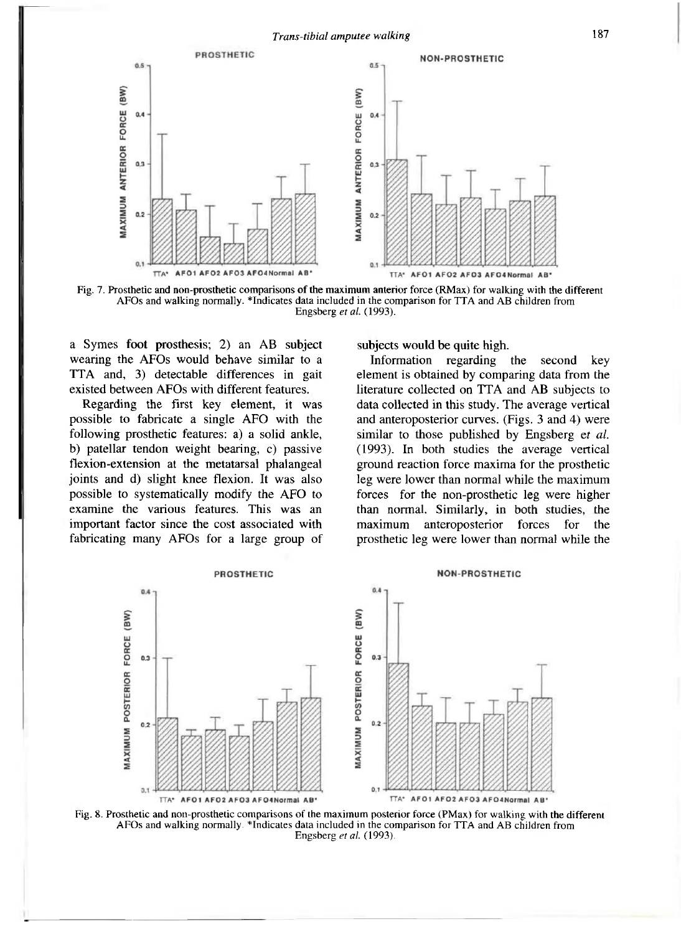

Fig. 7. Prosthetic and non-prosthetic comparisons of the maximum anterior force (RMax) for walking with the different AFOs and walking normally. \*Indicates data included in the comparison for TTA and AB children from Engsberg *et al.* (1993).

a Symes foot prosthesis; 2) an AB subject wearing the AFOs would behave similar to a TTA and, 3) detectable differences in gait existed between AFOs with different features.

Regarding the first key element, it was possible to fabricate a single AFO with the following prosthetic features: a) a solid ankle, b) patellar tendon weight bearing, c) passive flexion-extension at the metatarsal phalangeal joints and d) slight knee flexion. It was also possible to systematically modify the AFO to examine the various features. This was an important factor since the cost associated with fabricating many AFOs for a large group of

subjects would be quite high.

Information regarding the second key element is obtained by comparing data from the literature collected on TTA and AB subjects to data collected in this study. The average vertical and anteroposterior curves. (Figs. 3 and 4) were similar to those published by Engsberg et *al.*  (1993). In both studies the average vertical ground reaction force maxima for the prosthetic leg were lower than normal while the maximum forces for the non-prosthetic leg were higher than normal. Similarly, in both studies, the maximum anteroposterior forces for the prosthetic leg were lower than normal while the



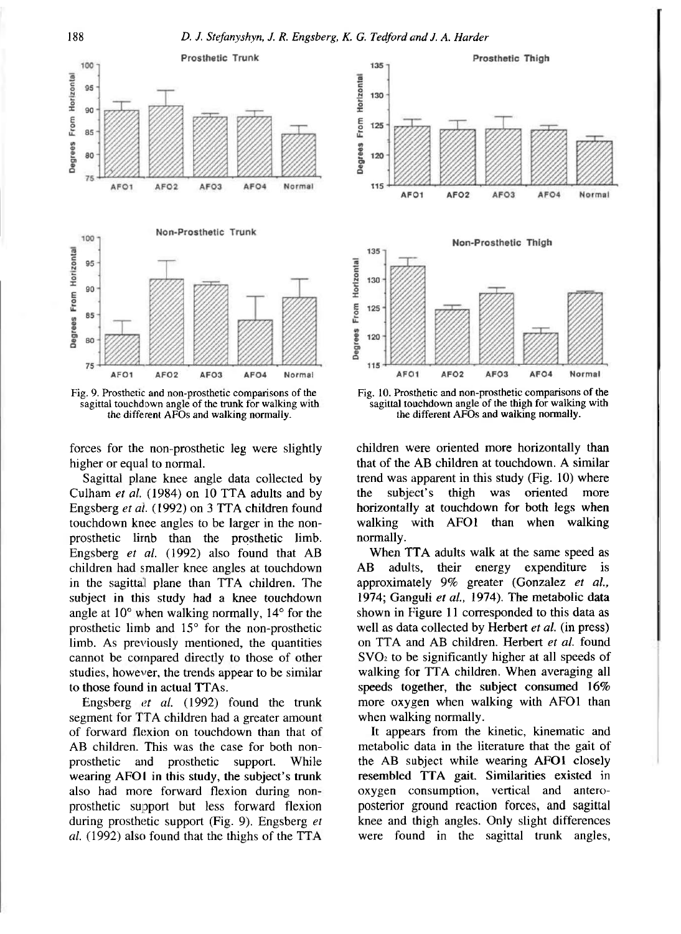**1 8 8** *D. J. Stefanyshyn, J. R. Engsberg, K. G. Tedford and J. A. Harder* 



Fig. 9. Prosthetic and non-prosthetic comparisons of the sagittal touchdown angle of the trunk for walking with the different AFOs and walking normally.

forces for the non-prosthetic leg were slightly higher or equal to normal.

Sagittal plane knee angle data collected by Culham *et al.* (1984) on 10 TTA adults and by Engsberg *et al.* (1992) on 3 TTA children found touchdown knee angles to be larger in the nonprosthetic limb than the prosthetic limb. Engsberg *et al.* (1992) also found that AB children had smaller knee angles at touchdown in the sagittal plane than TTA children. The subject in this study had a knee touchdown angle at 10° when walking normally, 14° for the prosthetic limb and 15° for the non-prosthetic limb. As previously mentioned, the quantities cannot be compared directly to those of other studies, however, the trends appear to be similar to those found in actual TTAs.

Engsberg *et al.* (1992) found the trunk segment for TTA children had a greater amount of forward flexion on touchdown than that of AB children. This was the case for both nonprosthetic and prosthetic support. While wearing AFO1 in this study, the subject's trunk also had more forward flexion during nonprosthetic support but less forward flexion during prosthetic support (Fig. 9). Engsberg *et al.* (1992) also found that the thighs of the TTA



sagittal touchdown angle of the thigh for walking with the different AFOs and walking normally.

children were oriented more horizontally than that of the AB children at touchdown. A similar trend was apparent in this study (Fig. 10) where the subject's thigh was oriented more horizontally at touchdown for both legs when walking with AFO1 than when walking normally.

When TTA adults walk at the same speed as AB adults, their energy expenditure is approximately 9% greater (Gonzalez *et al.,*  1974; Ganguli *et al.,* 1974). The metabolic data shown in Figure 11 corresponded to this data as well as data collected by Herbert *et al.* (in press) on TTA and AB children. Herbert *et al.* found SVO<sup>2</sup> to be significantly higher at all speeds of walking for TTA children. When averaging all speeds together, the subject consumed 16% more oxygen when walking with AFO1 than when walking normally.

It appears from the kinetic, kinematic and metabolic data in the literature that the gait of the AB subject while wearing AFO1 closely resembled TTA gait. Similarities existed in oxygen consumption, vertical and anteroposterior ground reaction forces, and sagittal knee and thigh angles. Only slight differences were found in the sagittal trunk angles,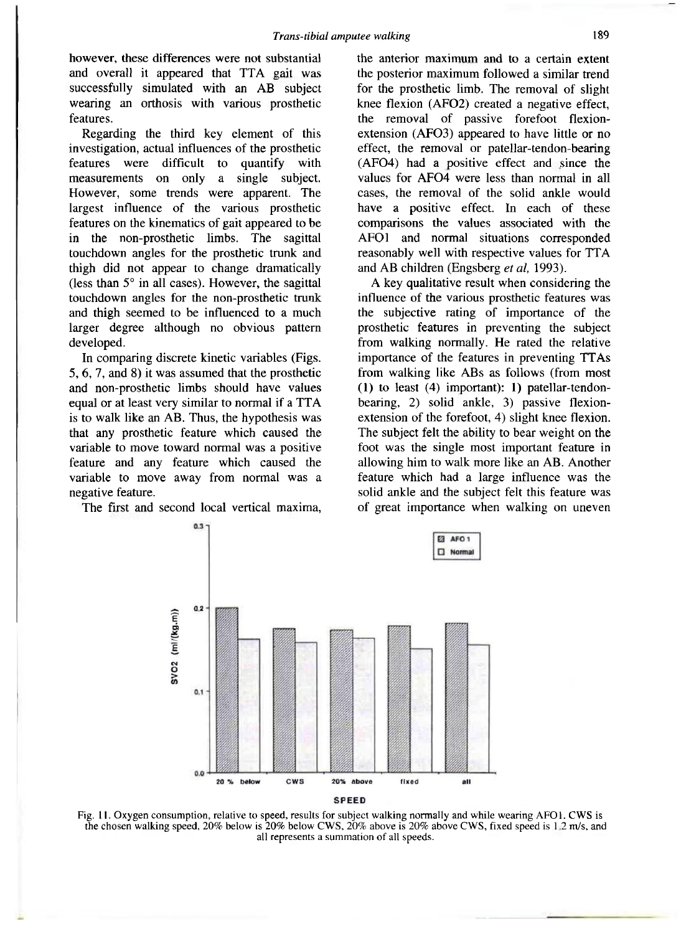however, these differences were not substantial and overall it appeared that TTA gait was successfully simulated with an AB subject wearing an orthosis with various prosthetic features.

Regarding the third key element of this investigation, actual influences of the prosthetic features were difficult to quantify with measurements on only a single subject. However, some trends were apparent. The largest influence of the various prosthetic features on the kinematics of gait appeared to be in the non-prosthetic limbs. The sagittal touchdown angles for the prosthetic trunk and thigh did not appear to change dramatically (less than 5° in all cases). However, the sagittal touchdown angles for the non-prosthetic trunk and thigh seemed to be influenced to a much larger degree although no obvious pattern developed.

In comparing discrete kinetic variables (Figs. 5, 6, 7, and 8) it was assumed that the prosthetic and non-prosthetic limbs should have values equal or at least very similar to normal if a TTA is to walk like an AB. Thus, the hypothesis was that any prosthetic feature which caused the variable to move toward normal was a positive feature and any feature which caused the variable to move away from normal was a negative feature.

The first and second local vertical maxima,

the anterior maximum and to a certain extent the posterior maximum followed a similar trend for the prosthetic limb. The removal of slight knee flexion (AF02) created a negative effect, the removal of passive forefoot flexionextension (AFO3) appeared to have little or no effect, the removal or patellar-tendon-bearing (AF04) had a positive effect and since the values for AFO4 were less than normal in all cases, the removal of the solid ankle would have a positive effect. In each of these comparisons the values associated with the AFO1 and normal situations corresponded reasonably well with respective values for TTA and AB children (Engsberg *et al,* 1993).

A key qualitative result when considering the influence of the various prosthetic features was the subjective rating of importance of the prosthetic features in preventing the subject from walking normally. He rated the relative importance of the features in preventing TTAs from walking like ABs as follows (from most (1) to least (4) important): 1) patellar-tendonbearing, 2) solid ankle, 3) passive flexionextension of the forefoot, 4) slight knee flexion. The subject felt the ability to bear weight on the foot was the single most important feature in allowing him to walk more like an AB. Another feature which had a large influence was the solid ankle and the subject felt this feature was of great importance when walking on uneven



Fig. 11. Oxygen consumption, relative to speed, results for subject walking normally and while wearing AFO1. CWS is the chosen walking speed, 20% below is 20% below CWS, 20% above is 20% above CWS, fixed speed is 1.2 m/s, and all represents a summation of all speeds.